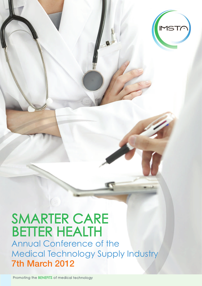# SMARTER CARE BETTER HEALTH Annual Conference of the

Medical Technology Supply Industry 7th March 2012

Promoting the BENEFITS of medical technology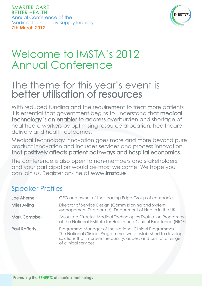

## Welcome to IMSTA's 2012 Annual Conference

### The theme for this year's event is better utilisation of resources

With reduced funding and the requirement to treat more patients it is essential that government begins to understand that medical technology is an enabler to address overburden and shortage of healthcare workers by optimising resource allocation, healthcare delivery and health outcomes.

Medical technology innovation goes more and more beyond pure product innovation and includes services and process innovation that positively affects patient pathways and hospital economics.

The conference is also open to non-members and stakeholders and your participation would be most welcome. We hope you can join us. Register on-line at www.imsta.ie

### Speaker Profiles

| Joe Aherne           | CEO and owner of the Leading Edge Group of companies                                                                                                                                                              |
|----------------------|-------------------------------------------------------------------------------------------------------------------------------------------------------------------------------------------------------------------|
| <b>Miles Ayling</b>  | Director of Service Design (Commissioning and System<br>Management Directorate), Department of Health in the UK                                                                                                   |
| <b>Mark Campbell</b> | Associate Director, Medical Technologies Evaluation Programme<br>at the National Institute for Health and Clinical Excellence (NICE)                                                                              |
| <b>Paul Rafferty</b> | Programme Manager of the National Clinical Programmes.<br>The National Clinical Programmes were established to develop<br>solutions that improve the quality, access and cost of a range<br>of clinical services. |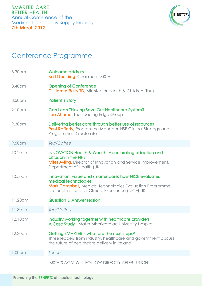

### Conference Programme

| 8.30 am            | <b>Welcome address</b><br>Karl Goulding, Chairman, IMSTA                                                                                                                                            |
|--------------------|-----------------------------------------------------------------------------------------------------------------------------------------------------------------------------------------------------|
| 8.40 am            | <b>Opening of Conference</b><br><b>Dr. James Reilly TD, Minister for Health &amp; Children (tbc)</b>                                                                                                |
| 8.50 am            | <b>Patient's Story</b>                                                                                                                                                                              |
| 9.10 am            | Can Lean Thinking Save Our Healthcare System?<br><b>Joe Aherne, The Leading Edge Group</b>                                                                                                          |
| 9.30 am            | Delivering better care through better use of resources<br><b>Paul Rafferty, Programme Manager, HSE Clinical Strategy and</b><br><b>Programmes Directorate</b>                                       |
| 9.50 am            | Tea/Coffee                                                                                                                                                                                          |
| 10.20am            | <b>INNOVATION Health &amp; Wealth: Accelerating adoption and</b><br>diffusion in the NHS<br>Miles Ayling, Director of Innovation and Service Improvement,<br>Department of Health (UK)              |
| 10.50am            | Innovation, value and smarter care: how NICE evaluates<br>medical technologies<br>Mark Campbell, Medical Technologies Evaluation Programme,<br>National Institute for Clinical Excellence (NICE) UK |
| 11.20am            | <b>Question &amp; Answer session</b>                                                                                                                                                                |
| 11.30 am           | Tea/Coffee                                                                                                                                                                                          |
| 12.10pm            | Industry working together with healthcare providers:<br>A Case Study - Mater Misericordiae University Hospital                                                                                      |
| 12.30pm            | Getting SMARTER – what are the next steps?<br>Three leaders from industry, healthcare and government discuss<br>the future of healthcare delivery in Ireland                                        |
| 1.00 <sub>pm</sub> | Lunch                                                                                                                                                                                               |
|                    | <b>IMSTA'S AGM WILL FOLLOW DIRECTLY AFTER LUNCH</b>                                                                                                                                                 |